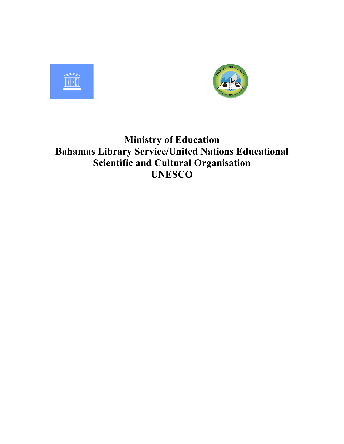



# Ministry of Education Bahamas Library Service/United Nations Educational Scientific and Cultural Organisation UNESCO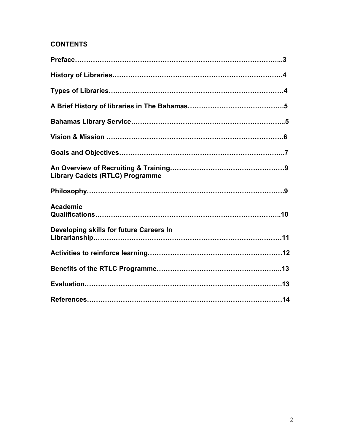#### **CONTENTS**

| <b>Library Cadets (RTLC) Programme</b>  |  |
|-----------------------------------------|--|
|                                         |  |
| <b>Academic</b>                         |  |
| Developing skills for future Careers In |  |
|                                         |  |
|                                         |  |
|                                         |  |
|                                         |  |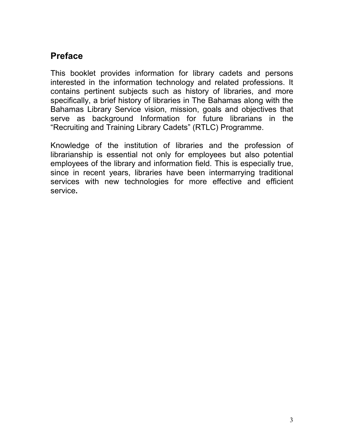## Preface

This booklet provides information for library cadets and persons interested in the information technology and related professions. It contains pertinent subjects such as history of libraries, and more specifically, a brief history of libraries in The Bahamas along with the Bahamas Library Service vision, mission, goals and objectives that serve as background Information for future librarians in the "Recruiting and Training Library Cadets" (RTLC) Programme.

Knowledge of the institution of libraries and the profession of librarianship is essential not only for employees but also potential employees of the library and information field. This is especially true, since in recent years, libraries have been intermarrying traditional services with new technologies for more effective and efficient service.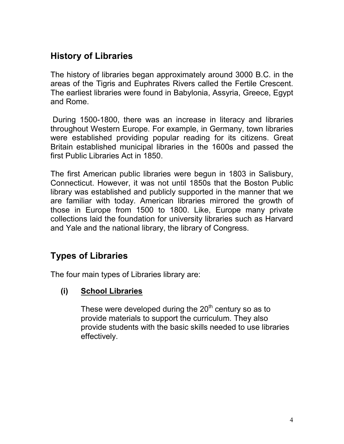## History of Libraries

The history of libraries began approximately around 3000 B.C. in the areas of the Tigris and Euphrates Rivers called the Fertile Crescent. The earliest libraries were found in Babylonia, Assyria, Greece, Egypt and Rome.

 During 1500-1800, there was an increase in literacy and libraries throughout Western Europe. For example, in Germany, town libraries were established providing popular reading for its citizens. Great Britain established municipal libraries in the 1600s and passed the first Public Libraries Act in 1850.

The first American public libraries were begun in 1803 in Salisbury, Connecticut. However, it was not until 1850s that the Boston Public library was established and publicly supported in the manner that we are familiar with today. American libraries mirrored the growth of those in Europe from 1500 to 1800. Like, Europe many private collections laid the foundation for university libraries such as Harvard and Yale and the national library, the library of Congress.

## Types of Libraries

The four main types of Libraries library are:

### (i) School Libraries

These were developed during the  $20<sup>th</sup>$  century so as to provide materials to support the curriculum. They also provide students with the basic skills needed to use libraries effectively.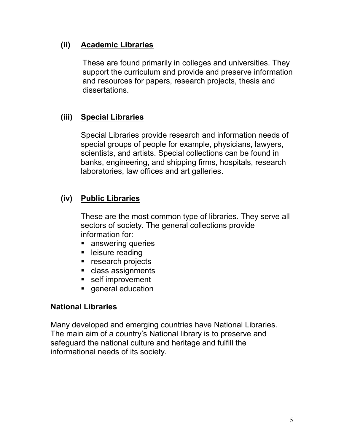#### (ii) Academic Libraries

These are found primarily in colleges and universities. They support the curriculum and provide and preserve information and resources for papers, research projects, thesis and dissertations.

#### (iii) Special Libraries

Special Libraries provide research and information needs of special groups of people for example, physicians, lawyers, scientists, and artists. Special collections can be found in banks, engineering, and shipping firms, hospitals, research laboratories, law offices and art galleries.

### (iv) Public Libraries

These are the most common type of libraries. They serve all sectors of society. The general collections provide information for:

- answering queries
- **E** leisure reading
- **F** research projects
- **Class assignments**
- **self improvement**
- **general education**

#### National Libraries

Many developed and emerging countries have National Libraries. The main aim of a country's National library is to preserve and safeguard the national culture and heritage and fulfill the informational needs of its society.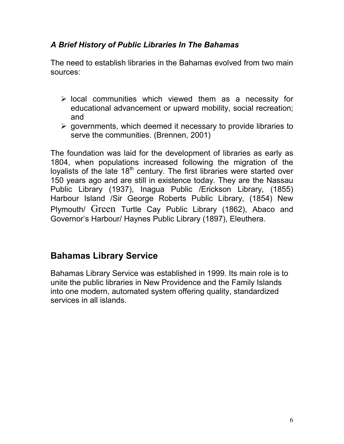#### A Brief History of Public Libraries In The Bahamas

The need to establish libraries in the Bahamas evolved from two main sources:

- > local communities which viewed them as a necessity for educational advancement or upward mobility, social recreation; and
- governments, which deemed it necessary to provide libraries to serve the communities. (Brennen, 2001)

The foundation was laid for the development of libraries as early as 1804, when populations increased following the migration of the loyalists of the late 18<sup>th</sup> century. The first libraries were started over 150 years ago and are still in existence today. They are the Nassau Public Library (1937), Inagua Public /Erickson Library, (1855) Harbour Island /Sir George Roberts Public Library, (1854) New Plymouth/ Green Turtle Cay Public Library (1862), Abaco and Governor's Harbour/ Haynes Public Library (1897), Eleuthera.

### Bahamas Library Service

Bahamas Library Service was established in 1999. Its main role is to unite the public libraries in New Providence and the Family Islands into one modern, automated system offering quality, standardized services in all islands.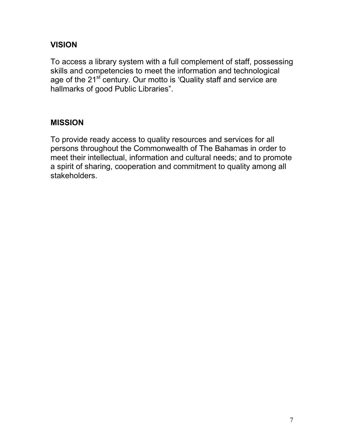#### VISION

To access a library system with a full complement of staff, possessing skills and competencies to meet the information and technological age of the 21<sup>st</sup> century. Our motto is 'Quality staff and service are hallmarks of good Public Libraries".

#### MISSION

To provide ready access to quality resources and services for all persons throughout the Commonwealth of The Bahamas in order to meet their intellectual, information and cultural needs; and to promote a spirit of sharing, cooperation and commitment to quality among all stakeholders.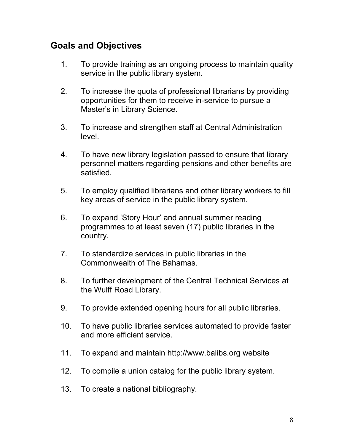## Goals and Objectives

- 1. To provide training as an ongoing process to maintain quality service in the public library system.
- 2. To increase the quota of professional librarians by providing opportunities for them to receive in-service to pursue a Master's in Library Science.
- 3. To increase and strengthen staff at Central Administration level.
- 4. To have new library legislation passed to ensure that library personnel matters regarding pensions and other benefits are satisfied.
- 5. To employ qualified librarians and other library workers to fill key areas of service in the public library system.
- 6. To expand 'Story Hour' and annual summer reading programmes to at least seven (17) public libraries in the country.
- 7. To standardize services in public libraries in the Commonwealth of The Bahamas.
- 8. To further development of the Central Technical Services at the Wulff Road Library.
- 9. To provide extended opening hours for all public libraries.
- 10. To have public libraries services automated to provide faster and more efficient service.
- 11. To expand and maintain http://www.balibs.org website
- 12. To compile a union catalog for the public library system.
- 13. To create a national bibliography.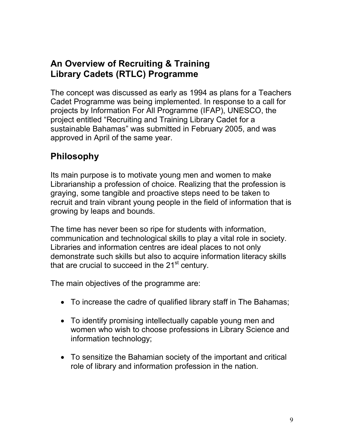### An Overview of Recruiting & Training Library Cadets (RTLC) Programme

The concept was discussed as early as 1994 as plans for a Teachers Cadet Programme was being implemented. In response to a call for projects by Information For All Programme (IFAP), UNESCO, the project entitled "Recruiting and Training Library Cadet for a sustainable Bahamas" was submitted in February 2005, and was approved in April of the same year.

## Philosophy

Its main purpose is to motivate young men and women to make Librarianship a profession of choice. Realizing that the profession is graying, some tangible and proactive steps need to be taken to recruit and train vibrant young people in the field of information that is growing by leaps and bounds.

The time has never been so ripe for students with information, communication and technological skills to play a vital role in society. Libraries and information centres are ideal places to not only demonstrate such skills but also to acquire information literacy skills that are crucial to succeed in the  $21<sup>st</sup>$  century.

The main objectives of the programme are:

- To increase the cadre of qualified library staff in The Bahamas;
- To identify promising intellectually capable young men and women who wish to choose professions in Library Science and information technology;
- To sensitize the Bahamian society of the important and critical role of library and information profession in the nation.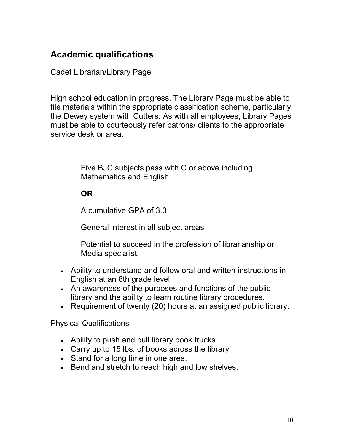## Academic qualifications

Cadet Librarian/Library Page

High school education in progress. The Library Page must be able to file materials within the appropriate classification scheme, particularly the Dewey system with Cutters. As with all employees, Library Pages must be able to courteously refer patrons/ clients to the appropriate service desk or area.

> Five BJC subjects pass with C or above including Mathematics and English

### OR

A cumulative GPA of 3.0

General interest in all subject areas

Potential to succeed in the profession of librarianship or Media specialist.

- Ability to understand and follow oral and written instructions in English at an 8th grade level.
- An awareness of the purposes and functions of the public library and the ability to learn routine library procedures.
- Requirement of twenty (20) hours at an assigned public library.

Physical Qualifications

- Ability to push and pull library book trucks.
- Carry up to 15 lbs. of books across the library.
- Stand for a long time in one area.
- Bend and stretch to reach high and low shelves.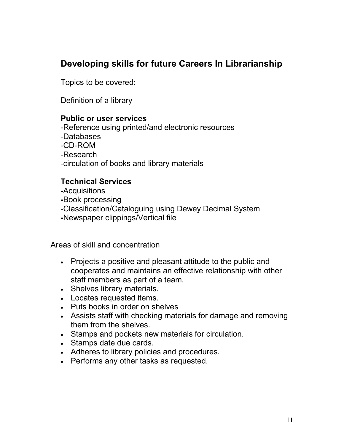## Developing skills for future Careers In Librarianship

Topics to be covered:

Definition of a library

#### Public or user services

-Reference using printed/and electronic resources

- -Databases
- -CD-ROM

-Research

-circulation of books and library materials

#### Technical Services

-Acquisitions

-Book processing

- -Classification/Cataloguing using Dewey Decimal System
- -Newspaper clippings/Vertical file

Areas of skill and concentration

- Projects a positive and pleasant attitude to the public and cooperates and maintains an effective relationship with other staff members as part of a team.
- Shelves library materials.
- Locates requested items.
- Puts books in order on shelves
- Assists staff with checking materials for damage and removing them from the shelves.
- Stamps and pockets new materials for circulation.
- Stamps date due cards.
- Adheres to library policies and procedures.
- Performs any other tasks as requested.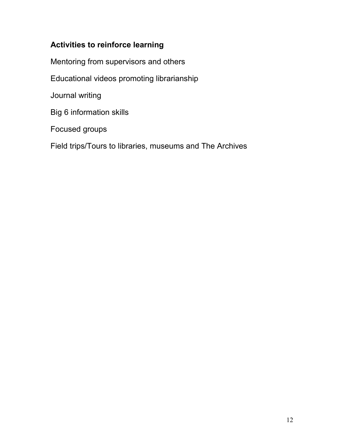### Activities to reinforce learning

Mentoring from supervisors and others

Educational videos promoting librarianship

Journal writing

Big 6 information skills

Focused groups

Field trips/Tours to libraries, museums and The Archives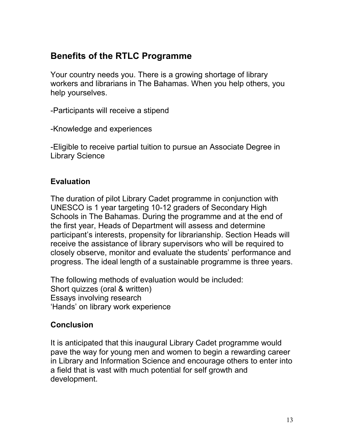## Benefits of the RTLC Programme

Your country needs you. There is a growing shortage of library workers and librarians in The Bahamas. When you help others, you help yourselves.

-Participants will receive a stipend

-Knowledge and experiences

-Eligible to receive partial tuition to pursue an Associate Degree in Library Science

#### Evaluation

The duration of pilot Library Cadet programme in conjunction with UNESCO is 1 year targeting 10-12 graders of Secondary High Schools in The Bahamas. During the programme and at the end of the first year, Heads of Department will assess and determine participant's interests, propensity for librarianship. Section Heads will receive the assistance of library supervisors who will be required to closely observe, monitor and evaluate the students' performance and progress. The ideal length of a sustainable programme is three years.

The following methods of evaluation would be included: Short quizzes (oral & written) Essays involving research 'Hands' on library work experience

#### Conclusion

It is anticipated that this inaugural Library Cadet programme would pave the way for young men and women to begin a rewarding career in Library and Information Science and encourage others to enter into a field that is vast with much potential for self growth and development.